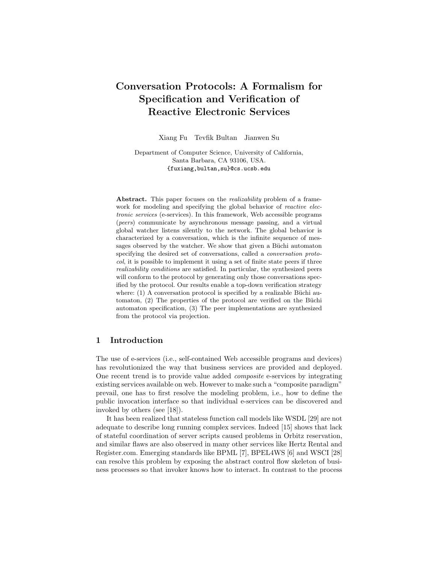# **Conversation Protocols: A Formalism for Specification and Verification of Reactive Electronic Services**

Xiang Fu Tevfik Bultan Jianwen Su

Department of Computer Science, University of California, Santa Barbara, CA 93106, USA. {fuxiang,bultan,su}@cs.ucsb.edu

**Abstract.** This paper focuses on the *realizability* problem of a framework for modeling and specifying the global behavior of *reactive electronic services* (e-services). In this framework, Web accessible programs (*peers*) communicate by asynchronous message passing, and a virtual global watcher listens silently to the network. The global behavior is characterized by a conversation, which is the infinite sequence of messages observed by the watcher. We show that given a Büchi automaton specifying the desired set of conversations, called a *conversation protocol*, it is possible to implement it using a set of finite state peers if three *realizability conditions* are satisfied. In particular, the synthesized peers will conform to the protocol by generating only those conversations specified by the protocol. Our results enable a top-down verification strategy where:  $(1)$  A conversation protocol is specified by a realizable Büchi automaton,  $(2)$  The properties of the protocol are verified on the Büchi automaton specification, (3) The peer implementations are synthesized from the protocol via projection.

# **1 Introduction**

The use of e-services (i.e., self-contained Web accessible programs and devices) has revolutionized the way that business services are provided and deployed. One recent trend is to provide value added *composite* e-services by integrating existing services available on web. However to make such a "composite paradigm" prevail, one has to first resolve the modeling problem, i.e., how to define the public invocation interface so that individual e-services can be discovered and invoked by others (see [18]).

It has been realized that stateless function call models like WSDL [29] are not adequate to describe long running complex services. Indeed [15] shows that lack of stateful coordination of server scripts caused problems in Orbitz reservation, and similar flaws are also observed in many other services like Hertz Rental and Register.com. Emerging standards like BPML [7], BPEL4WS [6] and WSCI [28] can resolve this problem by exposing the abstract control flow skeleton of business processes so that invoker knows how to interact. In contrast to the process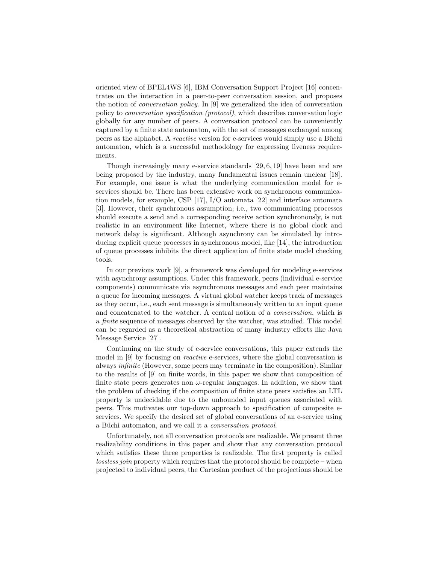oriented view of BPEL4WS [6], IBM Conversation Support Project [16] concentrates on the interaction in a peer-to-peer conversation session, and proposes the notion of *conversation policy*. In [9] we generalized the idea of conversation policy to *conversation specification (protocol)*, which describes conversation logic globally for any number of peers. A conversation protocol can be conveniently captured by a finite state automaton, with the set of messages exchanged among peers as the alphabet. A *reactive* version for e-services would simply use a Büchi automaton, which is a successful methodology for expressing liveness requirements.

Though increasingly many e-service standards [29, 6, 19] have been and are being proposed by the industry, many fundamental issues remain unclear [18]. For example, one issue is what the underlying communication model for eservices should be. There has been extensive work on synchronous communication models, for example, CSP [17], I/O automata [22] and interface automata [3]. However, their synchronous assumption, i.e., two communicating processes should execute a send and a corresponding receive action synchronously, is not realistic in an environment like Internet, where there is no global clock and network delay is significant. Although asynchrony can be simulated by introducing explicit queue processes in synchronous model, like [14], the introduction of queue processes inhibits the direct application of finite state model checking tools.

In our previous work [9], a framework was developed for modeling e-services with asynchrony assumptions. Under this framework, peers (individual e-service components) communicate via asynchronous messages and each peer maintains a queue for incoming messages. A virtual global watcher keeps track of messages as they occur, i.e., each sent message is simultaneously written to an input queue and concatenated to the watcher. A central notion of a *conversation*, which is a *finite* sequence of messages observed by the watcher, was studied. This model can be regarded as a theoretical abstraction of many industry efforts like Java Message Service [27].

Continuing on the study of e-service conversations, this paper extends the model in [9] by focusing on *reactive* e-services, where the global conversation is always *infinite* (However, some peers may terminate in the composition). Similar to the results of [9] on finite words, in this paper we show that composition of finite state peers generates non  $\omega$ -regular languages. In addition, we show that the problem of checking if the composition of finite state peers satisfies an LTL property is undecidable due to the unbounded input queues associated with peers. This motivates our top-down approach to specification of composite eservices. We specify the desired set of global conversations of an e-service using a Büchi automaton, and we call it a *conversation protocol*.

Unfortunately, not all conversation protocols are realizable. We present three realizability conditions in this paper and show that any conversation protocol which satisfies these three properties is realizable. The first property is called *lossless join* property which requires that the protocol should be complete – when projected to individual peers, the Cartesian product of the projections should be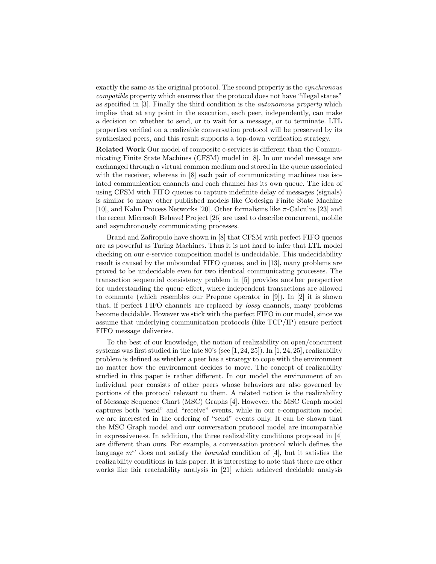exactly the same as the original protocol. The second property is the *synchronous compatible* property which ensures that the protocol does not have "illegal states" as specified in [3]. Finally the third condition is the *autonomous property* which implies that at any point in the execution, each peer, independently, can make a decision on whether to send, or to wait for a message, or to terminate. LTL properties verified on a realizable conversation protocol will be preserved by its synthesized peers, and this result supports a top-down verification strategy.

**Related Work** Our model of composite e-services is different than the Communicating Finite State Machines (CFSM) model in [8]. In our model message are exchanged through a virtual common medium and stored in the queue associated with the receiver, whereas in  $[8]$  each pair of communicating machines use isolated communication channels and each channel has its own queue. The idea of using CFSM with FIFO queues to capture indefinite delay of messages (signals) is similar to many other published models like Codesign Finite State Machine [10], and Kahn Process Networks [20]. Other formalisms like π-Calculus [23] and the recent Microsoft Behave! Project [26] are used to describe concurrent, mobile and asynchronously communicating processes.

Brand and Zafiropulo have shown in [8] that CFSM with perfect FIFO queues are as powerful as Turing Machines. Thus it is not hard to infer that LTL model checking on our e-service composition model is undecidable. This undecidability result is caused by the unbounded FIFO queues, and in [13], many problems are proved to be undecidable even for two identical communicating processes. The transaction sequential consistency problem in [5] provides another perspective for understanding the queue effect, where independent transactions are allowed to commute (which resembles our Prepone operator in [9]). In [2] it is shown that, if perfect FIFO channels are replaced by *lossy* channels, many problems become decidable. However we stick with the perfect FIFO in our model, since we assume that underlying communication protocols (like TCP/IP) ensure perfect FIFO message deliveries.

To the best of our knowledge, the notion of realizability on open/concurrent systems was first studied in the late 80's (see [1, 24, 25]). In [1, 24, 25], realizability problem is defined as whether a peer has a strategy to cope with the environment no matter how the environment decides to move. The concept of realizability studied in this paper is rather different. In our model the environment of an individual peer consists of other peers whose behaviors are also governed by portions of the protocol relevant to them. A related notion is the realizability of Message Sequence Chart (MSC) Graphs [4]. However, the MSC Graph model captures both "send" and "receive" events, while in our e-composition model we are interested in the ordering of "send" events only. It can be shown that the MSC Graph model and our conversation protocol model are incomparable in expressiveness. In addition, the three realizability conditions proposed in [4] are different than ours. For example, a conversation protocol which defines the language  $m^{\omega}$  does not satisfy the *bounded* condition of [4], but it satisfies the realizability conditions in this paper. It is interesting to note that there are other works like fair reachability analysis in [21] which achieved decidable analysis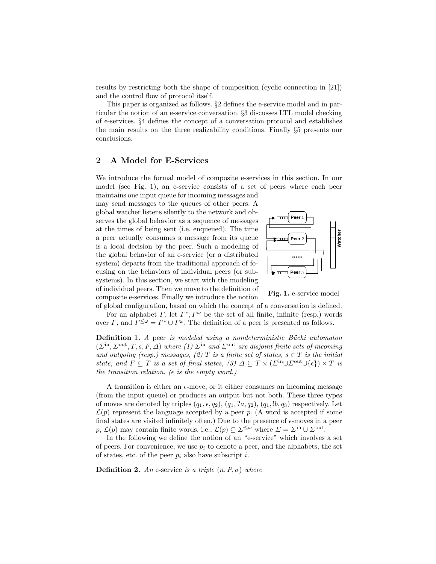results by restricting both the shape of composition (cyclic connection in [21]) and the control flow of protocol itself.

This paper is organized as follows. §2 defines the e-service model and in particular the notion of an e-service conversation. §3 discusses LTL model checking of e-services. §4 defines the concept of a conversation protocol and establishes the main results on the three realizability conditions. Finally  $\S5$  presents our conclusions.

#### **2 A Model for E-Services**

We introduce the formal model of composite e-services in this section. In our model (see Fig. 1), an e-service consists of a set of peers where each peer maintains one input queue for incoming messages and

may send messages to the queues of other peers. A global watcher listens silently to the network and observes the global behavior as a sequence of messages at the times of being sent (i.e. enqueued). The time a peer actually consumes a message from its queue is a local decision by the peer. Such a modeling of the global behavior of an e-service (or a distributed system) departs from the traditional approach of focusing on the behaviors of individual peers (or subsystems). In this section, we start with the modeling of individual peers. Then we move to the definition of composite e-services. Finally we introduce the notion



**Fig. 1.** e-service model

of global configuration, based on which the concept of a conversation is defined. For an alphabet  $\Gamma$ , let  $\Gamma^*$ ,  $\Gamma^{\omega}$  be the set of all finite, infinite (resp.) words over Γ, and  $\Gamma^{\leq \omega} = \Gamma^* \cup \Gamma^{\omega}$ . The definition of a peer is presented as follows.

**Definition 1.** *A* peer *is modeled using a nondeterministic Büchi automaton*  $(\Sigma^{\text{in}}, \Sigma^{\text{out}}, T, s, F, \Delta)$  *where (1)*  $\Sigma^{\text{in}}$  *and*  $\Sigma^{\text{out}}$  *are disjoint finite sets of incoming* and outgoing (resp.) messages, (2) T is a finite set of states,  $s \in T$  is the initial *state, and*  $F \subseteq T$  *is a set of final states, (3)*  $\Delta \subseteq T \times (\Sigma^{\text{in}} \cup \Sigma^{\text{out}} \cup \{\epsilon\}) \times T$  *is the transition relation.* ( $\epsilon$  *is the empty word.*)

A transition is either an  $\epsilon$ -move, or it either consumes an incoming message (from the input queue) or produces an output but not both. These three types of moves are denoted by triples  $(q_1, \epsilon, q_2), (q_1, a_2, q_2), (q_1, b_1, q_3)$  respectively. Let  $\mathcal{L}(p)$  represent the language accepted by a peer p. (A word is accepted if some final states are visited infinitely often.) Due to the presence of  $\epsilon$ -moves in a peer p,  $\mathcal{L}(p)$  may contain finite words, i.e.,  $\mathcal{L}(p) \subseteq \Sigma^{\leq \omega}$  where  $\Sigma = \Sigma^{\text{in}} \cup \Sigma^{\text{out}}$ .

In the following we define the notion of an "e-service" which involves a set of peers. For convenience, we use  $p_i$  to denote a peer, and the alphabets, the set of states, etc. of the peer  $p_i$  also have subscript i.

**Definition 2.** *An* e-service *is a triple*  $(n, P, \sigma)$  *where*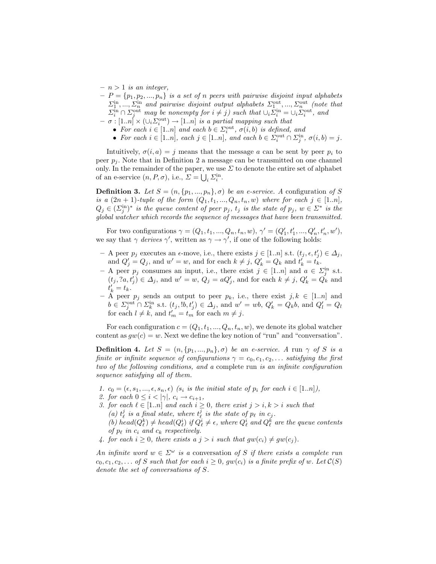- $n > 1$  *is an integer,*
- $P = \{p_1, p_2, ..., p_n\}$  *is a set of n peers with pairwise disjoint input alphabets*  $\Sigma_1^{\text{in}}, ..., \Sigma_n^{\text{in}}$  and pairwise disjoint output alphabets  $\Sigma_1^{\text{out}}, ..., \Sigma_n^{\text{out}}$  (note that  $\Sigma_i^{\text{in}} \cap \Sigma_i^{\text{out}}$  *may be nonempty for*  $i \neq j$ *) such that*  $\cup_i \Sigma_i^{\text{in}} = \cup_i \Sigma_i^{\text{out}}$ *, and*
- $\sigma : [1..n] \times (\cup_i \Sigma_i^{\text{out}}) \rightarrow [1..n]$  *is a partial mapping such that* 
	- For each  $i \in [1..n]$  and each  $b \in \Sigma_i^{\text{out}}$ ,  $\sigma(i, b)$  is defined, and
	- For each  $i \in [1..n]$ , each  $j \in [1..n]$ , and each  $b \in \Sigma_i^{\text{out}} \cap \Sigma_i^{\text{in}}$ ,  $\sigma(i, b) = j$ .

Intuitively,  $\sigma(i, a) = j$  means that the message a can be sent by peer  $p_i$  to peer  $p_i$ . Note that in Definition 2 a message can be transmitted on one channel only. In the remainder of the paper, we use  $\Sigma$  to denote the entire set of alphabet of an e-service  $(n, P, \sigma)$ , i.e.,  $\Sigma = \bigcup_i \Sigma_i^{\text{in}}$ .

**Definition 3.** *Let*  $S = (n, \{p_1, ..., p_n\}, \sigma)$  *be an e-service.* A configuration of S *is a*  $(2n + 1)$ *-tuple of the form*  $(Q_1, t_1, ..., Q_n, t_n, w)$  *where for each*  $j \in [1..n]$ *,*  $Q_j \in (\Sigma_i^{\text{in}})^*$  *is the queue content of peer*  $p_j$ *,*  $t_j$  *is the state of*  $p_j$ *,*  $w \in \Sigma^*$  *is the global watcher which records the sequence of messages that have been transmitted.*

For two configurations  $\gamma = (Q_1, t_1, ..., Q_n, t_n, w), \gamma' = (Q'_1, t'_1, ..., Q'_n, t'_n, w'),$ we say that  $\gamma$  *derives*  $\gamma'$ , written as  $\gamma \to \gamma'$ , if one of the following holds:

- $-$  A peer  $p_j$  executes an  $\epsilon$ -move, i.e., there exists  $j \in [1..n]$  s.t.  $(t_j, \epsilon, t'_j) \in \Delta_j$ , and  $Q'_i = Q_j$ , and  $w' = w$ , and for each  $k \neq j$ ,  $Q'_k = Q_k$  and  $t'_k = t_k$ .
- $-$  A peer  $p_j$  consumes an input, i.e., there exist  $j \in [1..n]$  and  $a \in \Sigma_i^{\text{in}}$  s.t.  $(t_j, a, t'_i) \in \Delta_j$ , and  $w' = w$ ,  $Q_j = aQ'_j$ , and for each  $k \neq j$ ,  $Q'_k = Q_k$  and  $t'_{k} = t_{k}.$
- $-$  A peer  $p_j$  sends an output to peer  $p_k$ , i.e., there exist  $j, k \in [1..n]$  and  $b \in \Sigma_i^{\text{out}} \cap \Sigma_k^{\text{in}} \text{ s.t. } (t_j, !b, t'_j) \in \Delta_j \text{, and } w' = wb, Q'_k = Q_k b \text{, and } Q'_l = Q_l$ for each  $l \neq k$ , and  $t'_m = t_m$  for each  $m \neq j$ .

For each configuration  $c = (Q_1, t_1, ..., Q_n, t_n, w)$ , we denote its global watcher content as  $gw(c) = w$ . Next we define the key notion of "run" and "conversation".

**Definition 4.** Let  $S = (n, \{p_1, ..., p_n\}, \sigma)$  be an e-service. A run  $\gamma$  of S is a *finite or infinite sequence of configurations*  $\gamma = c_0, c_1, c_2, \ldots$  *satisfying the first two of the following conditions, and a* complete run *is an infinite configuration sequence satisfying all of them.*

- *1.*  $c_0 = (\epsilon, s_1, \ldots, \epsilon, s_n, \epsilon)$  *(s<sub>i</sub> is the initial state of*  $p_i$  *for each*  $i \in [1..n]$ *),*
- 2. for each  $0 \leq i < |\gamma|, c_i \rightarrow c_{i+1}$ ,
- *3. for each*  $\ell \in [1..n]$  *and each*  $i \geq 0$ *, there exist*  $j > i, k > i$  *such that* (a)  $t_{\ell}^{j}$  is a final state, where  $t_{\ell}^{j}$  is the state of  $p_{\ell}$  in  $c_{j}$ . (b)  $head(Q_{\ell}^{k}) \neq head(Q_{\ell}^{i})$  if  $Q_{\ell}^{i} \neq \epsilon$ , where  $Q_{\ell}^{i}$  and  $Q_{\ell}^{k}$  are the queue contents *of*  $p_{\ell}$  *in*  $c_i$  *and*  $c_k$  *respectively.*
- 4. for each  $i \geq 0$ , there exists a  $j > i$  such that  $gw(c_i) \neq gw(c_j)$ .

*An infinite word*  $w \in \Sigma^{\omega}$  *is a* conversation of S *if there exists a complete run*  $c_0, c_1, c_2,...$  *of* S such that for each  $i \geq 0$ ,  $gw(c_i)$  *is a finite prefix of* w. Let  $\mathcal{C}(S)$ *denote the set of conversations of* S*.*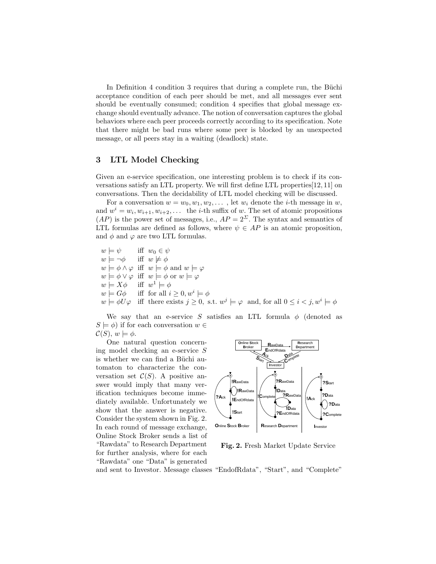In Definition 4 condition 3 requires that during a complete run, the Büchi acceptance condition of each peer should be met, and all messages ever sent should be eventually consumed; condition 4 specifies that global message exchange should eventually advance. The notion of conversation captures the global behaviors where each peer proceeds correctly according to its specification. Note that there might be bad runs where some peer is blocked by an unexpected message, or all peers stay in a waiting (deadlock) state.

## **3 LTL Model Checking**

Given an e-service specification, one interesting problem is to check if its conversations satisfy an LTL property. We will first define LTL properties[12, 11] on conversations. Then the decidability of LTL model checking will be discussed.

For a conversation  $w = w_0, w_1, w_2, \ldots$ , let  $w_i$  denote the *i*-th message in  $w$ , and  $w^i = w_i, w_{i+1}, w_{i+2}, \ldots$  the *i*-th suffix of w. The set of atomic propositions  $(AP)$  is the power set of messages, i.e.,  $AP = 2^{\Sigma}$ . The syntax and semantics of LTL formulas are defined as follows, where  $\psi \in AP$  is an atomic proposition, and  $\phi$  and  $\varphi$  are two LTL formulas.

 $w \models \psi$  iff  $w_0 \in \psi$  $w \models \neg \phi$ iff  $w \not\models \phi$  $w \models \phi \land \varphi \text{ iff } w \models \phi \text{ and } w \models \varphi$  $w \models \phi \vee \varphi$  iff  $w \models \phi$  or  $w \models \varphi$  $w \models X\phi$  iff  $w^1 \models \phi$  $w \models G\phi$  iff for all  $i \geq 0, w^i \models \phi$  $w \models \phi U \varphi$  iff there exists  $j \geq 0$ , s.t.  $w^j \models \varphi$  and, for all  $0 \leq i < j$ ,  $w^i \models \phi$ 

We say that an e-service S satisfies an LTL formula  $\phi$  (denoted as  $S \models \phi$ ) if for each conversation  $w \in$  $\mathcal{C}(S), w \models \phi.$ 

One natural question concerning model checking an e-service S is whether we can find a Büchi automaton to characterize the conversation set  $C(S)$ . A positive answer would imply that many verification techniques become immediately available. Unfortunately we show that the answer is negative. Consider the system shown in Fig. 2. In each round of message exchange, Online Stock Broker sends a list of "Rawdata" to Research Department for further analysis, where for each "Rawdata" one "Data" is generated



**Fig. 2.** Fresh Market Update Service

and sent to Investor. Message classes "EndofRdata", "Start", and "Complete"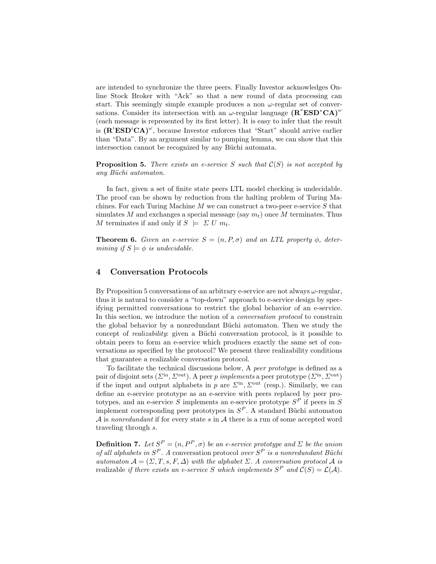are intended to synchronize the three peers. Finally Investor acknowledges Online Stock Broker with "Ack" so that a new round of data processing can start. This seemingly simple example produces a non  $\omega$ -regular set of conversations. Consider its intersection with an  $\omega$ -regular language  $(\mathbf{R}^* \mathbf{ESD}^* \mathbf{CA})^{\omega}$ (each message is represented by its first letter). It is easy to infer that the result is  $(\mathbf{R}^i \mathbf{ESD}^i \mathbf{CA})^\omega$ , because Investor enforces that "Start" should arrive earlier than "Data". By an argument similar to pumping lemma, we can show that this intersection cannot be recognized by any Büchi automata.

**Proposition 5.** *There exists an e-service* S *such that* C(S) *is not accepted by any B¨uchi automaton.*

In fact, given a set of finite state peers LTL model checking is undecidable. The proof can be shown by reduction from the halting problem of Turing Machines. For each Turing Machine  $M$  we can construct a two-peer e-service  $S$  that simulates M and exchanges a special message (say  $m_t$ ) once M terminates. Thus M terminates if and only if  $S \models \Sigma U m_t$ .

**Theorem 6.** *Given an e-service*  $S = (n, P, \sigma)$  *and an LTL property*  $\phi$ *, determining if*  $S \models \phi$  *is undecidable.* 

## **4 Conversation Protocols**

By Proposition 5 conversations of an arbitrary e-service are not always  $\omega$ -regular. thus it is natural to consider a "top-down" approach to e-service design by specifying permitted conversations to restrict the global behavior of an e-service. In this section, we introduce the notion of a *conversation protocol* to constrain the global behavior by a nonredundant Büchi automaton. Then we study the concept of *realizability*: given a Büchi conversation protocol, is it possible to obtain peers to form an e-service which produces exactly the same set of conversations as specified by the protocol? We present three realizability conditions that guarantee a realizable conversation protocol.

To facilitate the technical discussions below, A *peer prototype* is defined as a pair of disjoint sets  $(\Sigma^{\text{in}}, \Sigma^{\text{out}})$ . A peer p *implements* a peer prototype  $(\Sigma^{\text{in}}, \Sigma^{\text{out}})$ if the input and output alphabets in p are  $\Sigma^{\text{in}}$ ,  $\Sigma^{\text{out}}$  (resp.). Similarly, we can define an e-service prototype as an e-service with peers replaced by peer prototypes, and an e-service S implements an e-service prototype  $S<sup>P</sup>$  if peers in S implement corresponding peer prototypes in  $S<sup>P</sup>$ . A standard Büchi automaton A is *nonredundant* if for every state s in A there is a run of some accepted word traveling through s.

**Definition 7.** *Let*  $S^P = (n, P^P, \sigma)$  *be an e-service prototype and*  $\Sigma$  *be the union of all alphabets in*  $S^P$ . A conversation protocol *over*  $S^P$  *is a nonredundant Büchi automaton*  $\mathcal{A} = (\Sigma, T, s, F, \Delta)$  *with the alphabet*  $\Sigma$ . A conversation protocol  $\mathcal{A}$  *is* realizable *if there exists an e-service* S which implements  $S^P$  and  $C(S) = \mathcal{L}(\mathcal{A})$ .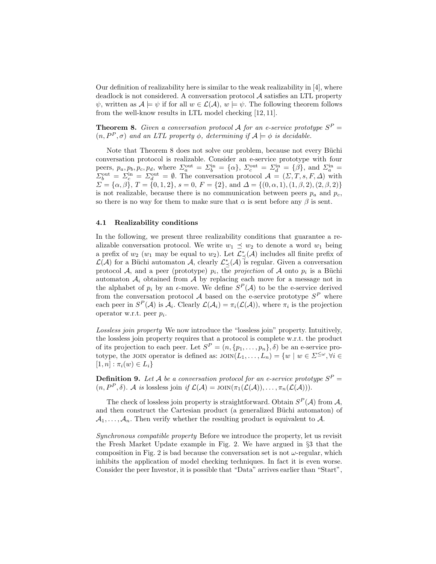Our definition of realizability here is similar to the weak realizability in [4], where deadlock is not considered. A conversation protocol  $A$  satisfies an LTL property  $\psi$ , written as  $\mathcal{A} \models \psi$  if for all  $w \in \mathcal{L}(\mathcal{A}), w \models \psi$ . The following theorem follows from the well-know results in LTL model checking [12, 11].

**Theorem 8.** *Given a conversation protocol* A *for an e-service prototype*  $S^P$  =  $(n, P^P, \sigma)$  *and an LTL property*  $\phi$ *, determining if*  $\mathcal{A} \models \phi$  *is decidable.* 

Note that Theorem 8 does not solve our problem, because not every Büchi conversation protocol is realizable. Consider an e-service prototype with four peers,  $p_a, p_b, p_c, p_d$ , where  $\Sigma_a^{\text{out}} = \Sigma_b^{\text{in}} = {\alpha}$ ,  $\Sigma_c^{\text{out}} = \Sigma_d^{\text{in}} = {\beta}$ , and  $\Sigma_a^{\text{in}} =$  $\Sigma_b^{\text{out}} = \Sigma_c^{\text{in}} = \Sigma_d^{\text{out}} = \emptyset$ . The conversation protocol  $\mathcal{A} = (\Sigma, T, s, F, \Delta)$  with  $\Sigma = {\alpha, \beta}$ ,  $T = {0, 1, 2}$ ,  $s = 0$ ,  $F = {2}$ , and  $\Delta = {(0, \alpha, 1), (1, \beta, 2), (2, \beta, 2)}$ is not realizable, because there is no communication between peers  $p_a$  and  $p_c$ , so there is no way for them to make sure that  $\alpha$  is sent before any  $\beta$  is sent.

#### **4.1 Realizability conditions**

In the following, we present three realizability conditions that guarantee a realizable conversation protocol. We write  $w_1 \preceq w_2$  to denote a word  $w_1$  being a prefix of  $w_2$  ( $w_1$  may be equal to  $w_2$ ). Let  $\mathcal{L}^*_{\preceq}(\mathcal{A})$  includes all finite prefix of  $\mathcal{L}(\mathcal{A})$  for a Büchi automaton  $\mathcal{A}$ , clearly  $\mathcal{L}^*_{\preceq}(\mathcal{A})$  is regular. Given a conversation protocol A, and a peer (prototype)  $p_i$ , the *projection* of A onto  $p_i$  is a Büchi automaton  $A_i$  obtained from  $A$  by replacing each move for a message not in the alphabet of  $p_i$  by an  $\epsilon$ -move. We define  $S^P(\mathcal{A})$  to be the e-service derived from the conversation protocol  $A$  based on the e-service prototype  $S^P$  where each peer in  $S^P(\mathcal{A})$  is  $\mathcal{A}_i$ . Clearly  $\mathcal{L}(\mathcal{A}_i) = \pi_i(\mathcal{L}(\mathcal{A}))$ , where  $\pi_i$  is the projection operator w.r.t. peer  $p_i$ .

*Lossless join property* We now introduce the "lossless join" property. Intuitively, the lossless join property requires that a protocol is complete w.r.t. the product of its projection to each peer. Let  $S^P = (n, \{p_1, \ldots, p_n\}, \delta)$  be an e-service prototype, the JOIN operator is defined as:  $JON(L_1,...,L_n) = \{w \mid w \in \Sigma^{\leq \omega}, \forall i \in$  $[1, n] : \pi_i(w) \in L_i$ 

**Definition 9.** Let A be a conversation protocol for an e-service prototype  $S^P$  =  $(n, P^P, \delta)$ *.* A *is* lossless join *if*  $\mathcal{L}(\mathcal{A}) = \text{Join}(\pi_1(\mathcal{L}(\mathcal{A})), \ldots, \pi_n(\mathcal{L}(\mathcal{A}))).$ 

The check of lossless join property is straightforward. Obtain  $S^P(\mathcal{A})$  from  $\mathcal{A}$ , and then construct the Cartesian product (a generalized Büchi automaton) of  $A_1, \ldots, A_n$ . Then verify whether the resulting product is equivalent to A.

*Synchronous compatible property* Before we introduce the property, let us revisit the Fresh Market Update example in Fig. 2. We have argued in §3 that the composition in Fig. 2 is bad because the conversation set is not  $\omega$ -regular, which inhibits the application of model checking techniques. In fact it is even worse. Consider the peer Investor, it is possible that "Data" arrives earlier than "Start",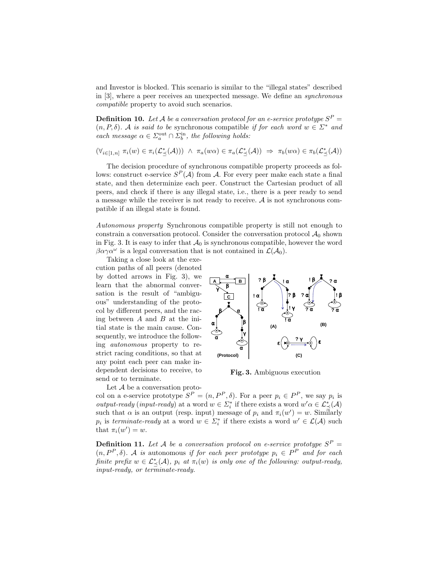and Investor is blocked. This scenario is similar to the "illegal states" described in [3], where a peer receives an unexpected message. We define an *synchronous compatible* property to avoid such scenarios.

**Definition 10.** Let A be a conversation protocol for an e-service prototype  $S^P$  =  $(n, P, \delta)$ *.* A *is said to be* synchronous compatible *if for each word*  $w \in \Sigma^*$  *and each message*  $\alpha \in \Sigma_a^{\text{out}} \cap \Sigma_b^{\text{in}}$ , the following holds:

 $(\forall_{i\in[1,n]}\ \pi_i(w)\in\pi_i(\mathcal{L}^*_{\preceq}(\mathcal{A})))\ \wedge\ \pi_a(w\alpha)\in\pi_a(\mathcal{L}^*_{\preceq}(\mathcal{A}))\ \Rightarrow\ \pi_b(w\alpha)\in\pi_b(\mathcal{L}^*_{\preceq}(\mathcal{A}))$ 

The decision procedure of synchronous compatible property proceeds as follows: construct e-service  $S^P(\mathcal{A})$  from  $\mathcal{A}$ . For every peer make each state a final state, and then determinize each peer. Construct the Cartesian product of all peers, and check if there is any illegal state, i.e., there is a peer ready to send a message while the receiver is not ready to receive.  $A$  is not synchronous compatible if an illegal state is found.

*Autonomous property* Synchronous compatible property is still not enough to constrain a conversation protocol. Consider the conversation protocol  $A_0$  shown in Fig. 3. It is easy to infer that  $\mathcal{A}_0$  is synchronous compatible, however the word  $\beta \alpha \gamma \alpha^{\omega}$  is a legal conversation that is not contained in  $\mathcal{L}(\mathcal{A}_0)$ .

Taking a close look at the execution paths of all peers (denoted by dotted arrows in Fig. 3), we learn that the abnormal conversation is the result of "ambiguous" understanding of the protocol by different peers, and the racing between  $A$  and  $B$  at the initial state is the main cause. Consequently, we introduce the following *autonomous* property to restrict racing conditions, so that at any point each peer can make independent decisions to receive, to send or to terminate.



**Fig. 3.** Ambiguous execution

Let A be a conversation proto-

col on a e-service prototype  $S^P = (n, P^P, \delta)$ . For a peer  $p_i \in P^P$ , we say  $p_i$  is *output-ready* (*input-ready*) at a word  $w \in \Sigma_i^*$  if there exists a word  $w' \alpha \in \mathcal{L}_\preceq^*({\mathcal{A}})$ such that  $\alpha$  is an output (resp. input) message of  $p_i$  and  $\pi_i(w') = w$ . Similarly  $p_i$  is *terminate-ready* at a word  $w \in \Sigma_i^*$  if there exists a word  $w' \in \mathcal{L}(\mathcal{A})$  such that  $\pi_i(w') = w$ .

**Definition 11.** Let A be a conversation protocol on e-service prototype  $S^P$  =  $(n, P^P, \delta)$ . A *is* autonomous *if for each peer prototype*  $p_i \in P^P$  *and for each finite prefix*  $w \in \mathcal{L}^*_{\preceq}(\mathcal{A})$ ,  $p_i$  at  $\pi_i(w)$  is only one of the following: output-ready, *input-ready, or terminate-ready.*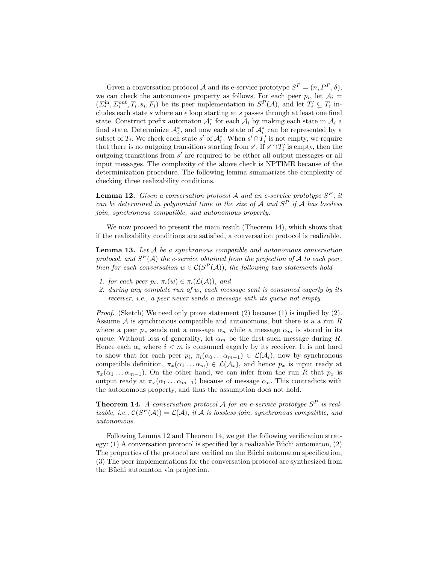Given a conversation protocol A and its e-service prototype  $S^P = (n, P^P, \delta)$ , we can check the autonomous property as follows. For each peer  $p_i$ , let  $A_i =$  $(\Sigma_i^{\text{in}}, \Sigma_i^{\text{out}}, T_i, s_i, F_i)$  be its peer implementation in  $S^P(\mathcal{A})$ , and let  $T'_i \subseteq T_i$  includes each state s where an  $\epsilon$  loop starting at s passes through at least one final state. Construct prefix automaton  $\mathcal{A}_i^*$  for each  $\mathcal{A}_i$  by making each state in  $\mathcal{A}_i$  a final state. Determinize  $\mathcal{A}_i^*$ , and now each state of  $\mathcal{A}_i^*$  can be represented by a subset of  $T_i$ . We check each state s' of  $\mathcal{A}_i^*$ . When s' ∩  $T_i'$  is not empty, we require that there is no outgoing transitions starting from s'. If  $s' \cap T_i'$  is empty, then the outgoing transitions from  $s'$  are required to be either all output messages or all input messages. The complexity of the above check is NPTIME because of the determinization procedure. The following lemma summarizes the complexity of checking three realizability conditions.

**Lemma 12.** *Given a conversation protocol* A *and an e-service prototype*  $S<sup>P</sup>$ , *it can be determined in polynomial time in the size of* A *and* S<sup>P</sup> *if* A *has lossless join, synchronous compatible, and autonomous property.*

We now proceed to present the main result (Theorem 14), which shows that if the realizability conditions are satisfied, a conversation protocol is realizable.

**Lemma 13.** *Let* A *be a synchronous compatible and autonomous conversation protocol, and*  $S<sup>P</sup>(A)$  *the e-service obtained from the projection of* A *to each peer, then for each conversation*  $w \in C(S^P(A))$ *, the following two statements hold* 

- *1. for each peer*  $p_i$ ,  $\pi_i(w) \in \pi_i(\mathcal{L}(\mathcal{A}))$ , and
- *2. during any complete run of* w*, each message sent is consumed eagerly by its receiver, i.e., a peer never sends a message with its queue not empty.*

*Proof.* (Sketch) We need only prove statement (2) because (1) is implied by (2). Assume  $A$  is synchronous compatible and autonomous, but there is a a run  $R$ where a peer  $p_x$  sends out a message  $\alpha_n$  while a message  $\alpha_m$  is stored in its queue. Without loss of generality, let  $\alpha_m$  be the first such message during R. Hence each  $\alpha_i$  where  $i < m$  is consumed eagerly by its receiver. It is not hard to show that for each peer  $p_i, \pi_i(\alpha_0 \dots \alpha_{m-1}) \in \mathcal{L}(\mathcal{A}_i)$ , now by synchronous compatible definition,  $\pi_x(\alpha_1 \ldots \alpha_m) \in \mathcal{L}(\mathcal{A}_x)$ , and hence  $p_x$  is input ready at  $\pi_x(\alpha_1 \ldots \alpha_{m-1})$ . On the other hand, we can infer from the run R that  $p_x$  is output ready at  $\pi_x(\alpha_1 \ldots \alpha_{m-1})$  because of message  $\alpha_n$ . This contradicts with the autonomous property, and thus the assumption does not hold.

**Theorem 14.** A conversation protocol A for an e-service prototype  $S^P$  is real*izable, i.e.,*  $C(S^P(A)) = C(A)$ *, if* A *is lossless join, synchronous compatible, and autonomous.*

Following Lemma 12 and Theorem 14, we get the following verification strategy:  $(1)$  A conversation protocol is specified by a realizable Büchi automaton,  $(2)$ The properties of the protocol are verified on the Büchi automaton specification, (3) The peer implementations for the conversation protocol are synthesized from the Büchi automaton via projection.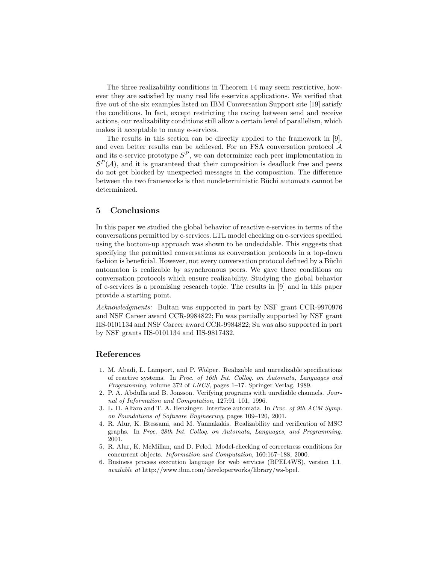The three realizability conditions in Theorem 14 may seem restrictive, however they are satisfied by many real life e-service applications. We verified that five out of the six examples listed on IBM Conversation Support site [19] satisfy the conditions. In fact, except restricting the racing between send and receive actions, our realizability conditions still allow a certain level of parallelism, which makes it acceptable to many e-services.

The results in this section can be directly applied to the framework in [9], and even better results can be achieved. For an FSA conversation protocol A and its e-service prototype  $S^P$ , we can determinize each peer implementation in  $S<sup>P</sup>(A)$ , and it is guaranteed that their composition is deadlock free and peers do not get blocked by unexpected messages in the composition. The difference between the two frameworks is that nondeterministic Büchi automata cannot be determinized.

# **5 Conclusions**

In this paper we studied the global behavior of reactive e-services in terms of the conversations permitted by e-services. LTL model checking on e-services specified using the bottom-up approach was shown to be undecidable. This suggests that specifying the permitted conversations as conversation protocols in a top-down fashion is beneficial. However, not every conversation protocol defined by a Büchi automaton is realizable by asynchronous peers. We gave three conditions on conversation protocols which ensure realizability. Studying the global behavior of e-services is a promising research topic. The results in [9] and in this paper provide a starting point.

*Acknowledgments:* Bultan was supported in part by NSF grant CCR-9970976 and NSF Career award CCR-9984822; Fu was partially supported by NSF grant IIS-0101134 and NSF Career award CCR-9984822; Su was also supported in part by NSF grants IIS-0101134 and IIS-9817432.

#### **References**

- 1. M. Abadi, L. Lamport, and P. Wolper. Realizable and unrealizable specifications of reactive systems. In *Proc. of 16th Int. Colloq. on Automata, Languages and Programming*, volume 372 of *LNCS*, pages 1–17. Springer Verlag, 1989.
- 2. P. A. Abdulla and B. Jonsson. Verifying programs with unreliable channels. *Journal of Information and Computation*, 127:91–101, 1996.
- 3. L. D. Alfaro and T. A. Henzinger. Interface automata. In *Proc. of 9th ACM Symp. on Foundations of Software Engineering*, pages 109–120, 2001.
- 4. R. Alur, K. Etessami, and M. Yannakakis. Realizability and verification of MSC graphs. In *Proc. 28th Int. Colloq. on Automata, Languages, and Programming*, 2001.
- 5. R. Alur, K. McMillan, and D. Peled. Model-checking of correctness conditions for concurrent objects. *Information and Computation*, 160:167–188, 2000.
- 6. Business process execution language for web services (BPEL4WS), version 1.1. *available at* http://www.ibm.com/developerworks/library/ws-bpel.